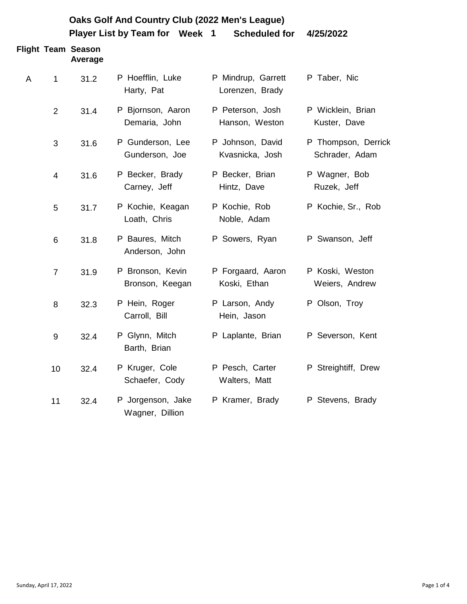|   | Oaks Golf And Country Club (2022 Men's League) |                                      |                                      |                                       |                                       |  |
|---|------------------------------------------------|--------------------------------------|--------------------------------------|---------------------------------------|---------------------------------------|--|
|   |                                                |                                      | Player List by Team for Week 1       | <b>Scheduled for</b>                  | 4/25/2022                             |  |
|   |                                                | <b>Flight Team Season</b><br>Average |                                      |                                       |                                       |  |
| A | $\mathbf{1}$                                   | 31.2                                 | P Hoefflin, Luke<br>Harty, Pat       | P Mindrup, Garrett<br>Lorenzen, Brady | P Taber, Nic                          |  |
|   | 2                                              | 31.4                                 | P Bjornson, Aaron<br>Demaria, John   | P Peterson, Josh<br>Hanson, Weston    | P Wicklein, Brian<br>Kuster, Dave     |  |
|   | 3                                              | 31.6                                 | P Gunderson, Lee<br>Gunderson, Joe   | P Johnson, David<br>Kvasnicka, Josh   | P Thompson, Derrick<br>Schrader, Adam |  |
|   | 4                                              | 31.6                                 | P Becker, Brady<br>Carney, Jeff      | P Becker, Brian<br>Hintz, Dave        | P Wagner, Bob<br>Ruzek, Jeff          |  |
|   | 5                                              | 31.7                                 | P Kochie, Keagan<br>Loath, Chris     | P Kochie, Rob<br>Noble, Adam          | P Kochie, Sr., Rob                    |  |
|   | 6                                              | 31.8                                 | P Baures, Mitch<br>Anderson, John    | P Sowers, Ryan                        | P Swanson, Jeff                       |  |
|   | $\overline{7}$                                 | 31.9                                 | P Bronson, Kevin<br>Bronson, Keegan  | P Forgaard, Aaron<br>Koski, Ethan     | P Koski, Weston<br>Weiers, Andrew     |  |
|   | 8                                              | 32.3                                 | P Hein, Roger<br>Carroll, Bill       | P Larson, Andy<br>Hein, Jason         | P Olson, Troy                         |  |
|   | 9                                              | 32.4                                 | P Glynn, Mitch<br>Barth, Brian       | P Laplante, Brian                     | P Severson, Kent                      |  |
|   | 10                                             | 32.4                                 | P Kruger, Cole<br>Schaefer, Cody     | P Pesch, Carter<br>Walters, Matt      | P Streightiff, Drew                   |  |
|   | 11                                             | 32.4                                 | P Jorgenson, Jake<br>Wagner, Dillion | P Kramer, Brady                       | P Stevens, Brady                      |  |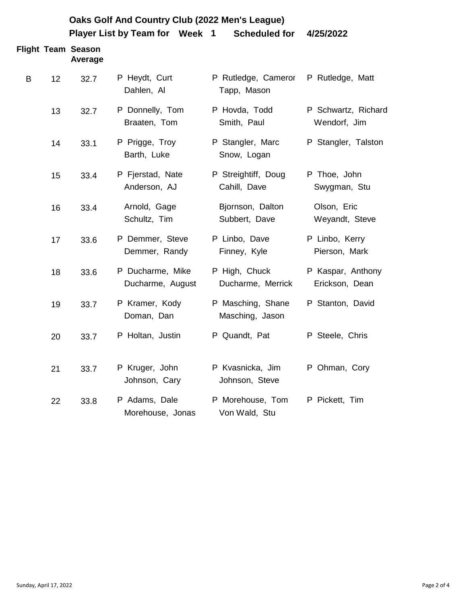|   | Oaks Golf And Country Club (2022 Men's League) |                                      |                                      |                                      |                                     |  |
|---|------------------------------------------------|--------------------------------------|--------------------------------------|--------------------------------------|-------------------------------------|--|
|   |                                                |                                      | Player List by Team for Week 1       | <b>Scheduled for</b>                 | 4/25/2022                           |  |
|   |                                                | <b>Flight Team Season</b><br>Average |                                      |                                      |                                     |  |
| B | 12                                             | 32.7                                 | P Heydt, Curt<br>Dahlen, Al          | P Rutledge, Cameror<br>Tapp, Mason   | P Rutledge, Matt                    |  |
|   | 13                                             | 32.7                                 | P Donnelly, Tom<br>Braaten, Tom      | P Hovda, Todd<br>Smith, Paul         | P Schwartz, Richard<br>Wendorf, Jim |  |
|   | 14                                             | 33.1                                 | P Prigge, Troy<br>Barth, Luke        | P Stangler, Marc<br>Snow, Logan      | P Stangler, Talston                 |  |
|   | 15                                             | 33.4                                 | P Fjerstad, Nate<br>Anderson, AJ     | P Streightiff, Doug<br>Cahill, Dave  | P Thoe, John<br>Swygman, Stu        |  |
|   | 16                                             | 33.4                                 | Arnold, Gage<br>Schultz, Tim         | Bjornson, Dalton<br>Subbert, Dave    | Olson, Eric<br>Weyandt, Steve       |  |
|   | 17                                             | 33.6                                 | P Demmer, Steve<br>Demmer, Randy     | P Linbo, Dave<br>Finney, Kyle        | P Linbo, Kerry<br>Pierson, Mark     |  |
|   | 18                                             | 33.6                                 | P Ducharme, Mike<br>Ducharme, August | P High, Chuck<br>Ducharme, Merrick   | P Kaspar, Anthony<br>Erickson, Dean |  |
|   | 19                                             | 33.7                                 | P Kramer, Kody<br>Doman, Dan         | P Masching, Shane<br>Masching, Jason | P Stanton, David                    |  |
|   | 20                                             | 33.7                                 | P Holtan, Justin                     | P Quandt, Pat                        | P Steele, Chris                     |  |
|   | 21                                             | 33.7                                 | P Kruger, John<br>Johnson, Cary      | P Kvasnicka, Jim<br>Johnson, Steve   | P Ohman, Cory                       |  |
|   | 22                                             | 33.8                                 | P Adams, Dale<br>Morehouse, Jonas    | P Morehouse, Tom<br>Von Wald, Stu    | P Pickett, Tim                      |  |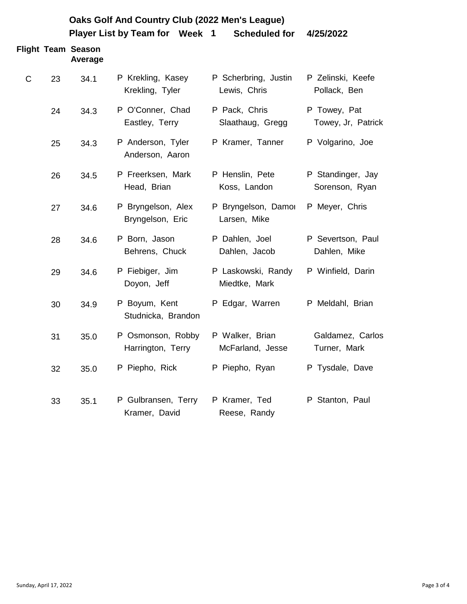| Oaks Golf And Country Club (2022 Men's League)<br>Player List by Team for Week 1<br><b>Scheduled for</b><br>4/25/2022 |    |                                      |                                        |                                      |                                     |
|-----------------------------------------------------------------------------------------------------------------------|----|--------------------------------------|----------------------------------------|--------------------------------------|-------------------------------------|
|                                                                                                                       |    | <b>Flight Team Season</b><br>Average |                                        |                                      |                                     |
| $\mathsf{C}$                                                                                                          | 23 | 34.1                                 | P Krekling, Kasey<br>Krekling, Tyler   | P Scherbring, Justin<br>Lewis, Chris | P Zelinski, Keefe<br>Pollack, Ben   |
|                                                                                                                       | 24 | 34.3                                 | P O'Conner, Chad<br>Eastley, Terry     | P Pack, Chris<br>Slaathaug, Gregg    | P Towey, Pat<br>Towey, Jr, Patrick  |
|                                                                                                                       | 25 | 34.3                                 | P Anderson, Tyler<br>Anderson, Aaron   | P Kramer, Tanner                     | P Volgarino, Joe                    |
|                                                                                                                       | 26 | 34.5                                 | P Freerksen, Mark<br>Head, Brian       | P Henslin, Pete<br>Koss, Landon      | P Standinger, Jay<br>Sorenson, Ryan |
|                                                                                                                       | 27 | 34.6                                 | P Bryngelson, Alex<br>Bryngelson, Eric | P Bryngelson, Damor<br>Larsen, Mike  | P Meyer, Chris                      |
|                                                                                                                       | 28 | 34.6                                 | P Born, Jason<br>Behrens, Chuck        | P Dahlen, Joel<br>Dahlen, Jacob      | P Severtson, Paul<br>Dahlen, Mike   |
|                                                                                                                       | 29 | 34.6                                 | P Fiebiger, Jim<br>Doyon, Jeff         | P Laskowski, Randy<br>Miedtke, Mark  | P Winfield, Darin                   |
|                                                                                                                       | 30 | 34.9                                 | P Boyum, Kent<br>Studnicka, Brandon    | P Edgar, Warren                      | P Meldahl, Brian                    |
|                                                                                                                       | 31 | 35.0                                 | P Osmonson, Robby<br>Harrington, Terry | P Walker, Brian<br>McFarland, Jesse  | Galdamez, Carlos<br>Turner, Mark    |
|                                                                                                                       | 32 | 35.0                                 | P Piepho, Rick                         | P Piepho, Ryan                       | P Tysdale, Dave                     |
|                                                                                                                       | 33 | 35.1                                 | P Gulbransen, Terry<br>Kramer, David   | P Kramer, Ted<br>Reese, Randy        | P Stanton, Paul                     |